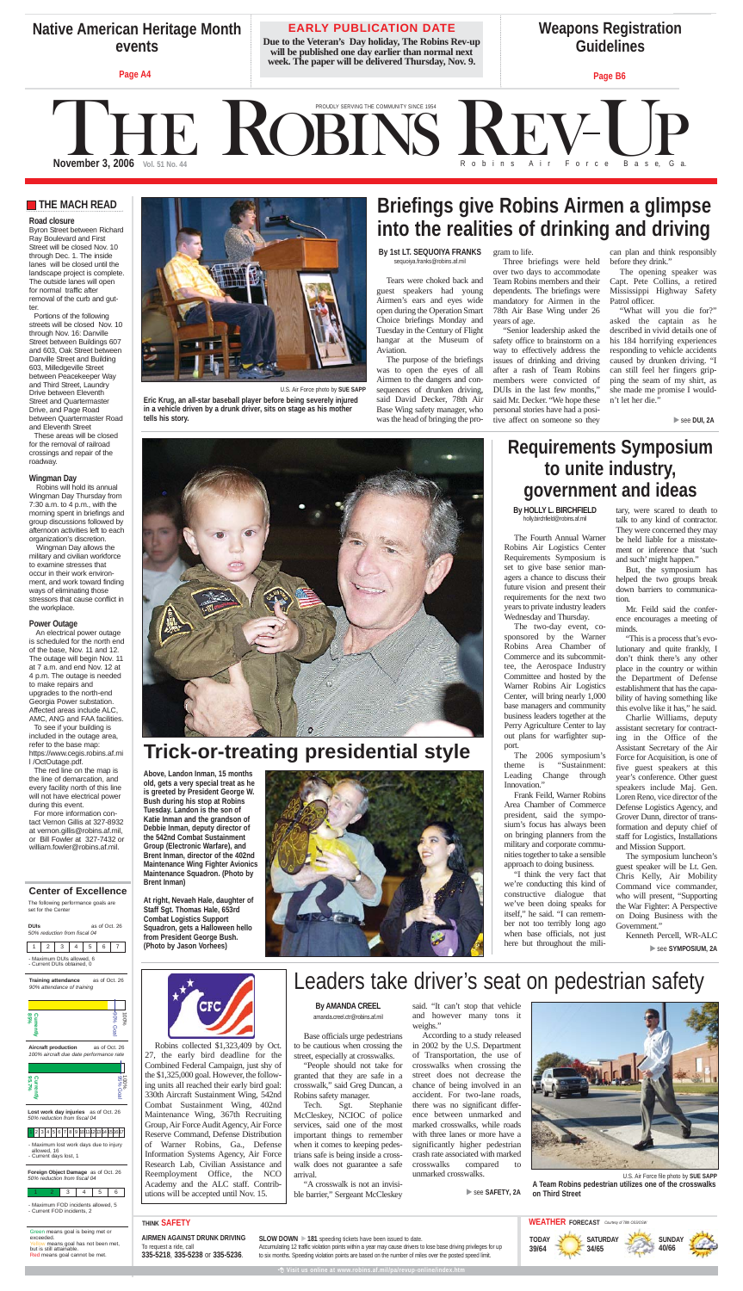## **Requirements Symposium to unite industry, government and ideas**

**By HOLLY L. BIRCHFIELD** holly.birchfield@robins.af.mil

The Fourth Annual Warner Robins Air Logistics Center Requirements Symposium is set to give base senior managers a chance to discuss their future vision and present their requirements for the next two years to private industry leaders Wednesday and Thursday.

The two-day event, cosponsored by the Warner Robins Area Chamber of Commerce and its subcommittee, the Aerospace Industry Committee and hosted by the Warner Robins Air Logistics Center, will bring nearly 1,000 base managers and community business leaders together at the Perry Agriculture Center to lay out plans for warfighter support.

The 2006 symposium's theme is "Sustainment: Leading Change through Innovation."

Frank Feild, Warner Robins Area Chamber of Commerce president, said the symposium's focus has always been on bringing planners from the military and corporate communities together to take a sensible approach to doing business.

"I think the very fact that we're conducting this kind of constructive dialogue that we've been doing speaks for itself," he said. "I can remember not too terribly long ago when base officials, not just here but throughout the military, were scared to death to talk to any kind of contractor. They were concerned they may be held liable for a misstatement or inference that 'such and such' might happen."

But, the symposium has helped the two groups break down barriers to communication.

Mr. Feild said the conference encourages a meeting of minds.

"This is a process that's evolutionary and quite frankly, I don't think there's any other place in the country or within the Department of Defense establishment that has the capability of having something like this evolve like it has," he said.

Charlie Williams, deputy assistant secretary for contracting in the Office of the Assistant Secretary of the Air Force for Acquisition, is one of five guest speakers at this year's conference. Other guest speakers include Maj. Gen. Loren Reno, vice director of the Defense Logistics Agency, and Grover Dunn, director of transformation and deputy chief of staff for Logistics, Installations and Mission Support.

The symposium luncheon's guest speaker will be Lt. Gen. Chris Kelly, Air Mobility Command vice commander, who will present, "Supporting the War Fighter: A Perspective on Doing Business with the Government."

Kenneth Percell, WR-ALC

▶ see **SYMPOSIUM**, 2A